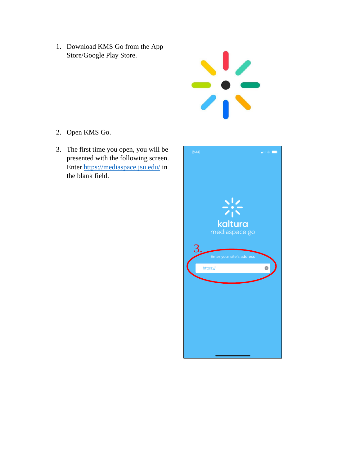1. Download KMS Go from the App Store/Google Play Store.



- 2. Open KMS Go.
- 3. The first time you open, you will be presented with the following screen. Enter [https://mediaspace.jsu.edu/](https://nam12.safelinks.protection.outlook.com/?url=https%3A%2F%2Fmediaspace.jsu.edu%2F&data=04%7C01%7Cbmikel%40jsu.edu%7C9cdce44ba2084d77c44608d8bef03ad3%7C32f44c14cd0e4539b7633c860a76727a%7C0%7C0%7C637469286270276624%7CUnknown%7CTWFpbGZsb3d8eyJWIjoiMC4wLjAwMDAiLCJQIjoiV2luMzIiLCJBTiI6Ik1haWwiLCJXVCI6Mn0%3D%7C1000&sdata=xgZIaYUmhh5CixPre7OnSReWib9kRIwC3hCeWJnDVtk%3D&reserved=0) in the blank field.

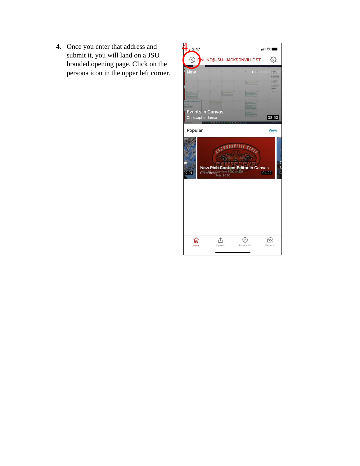4. Once you enter that address and submit it, you will land on a JSU branded opening page. Click on the persona icon in the upper left corner.

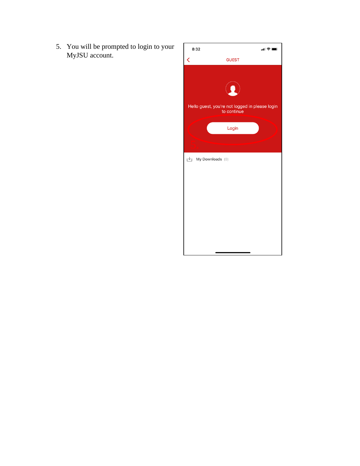5. You will be prompted to login to your MyJSU account.

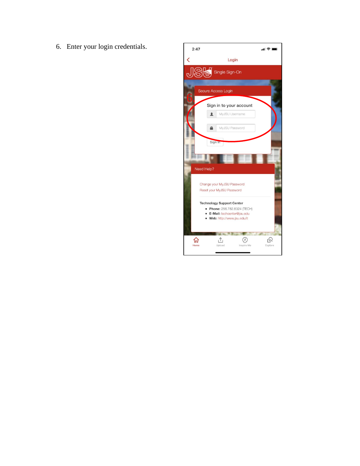6. Enter your login credentials.

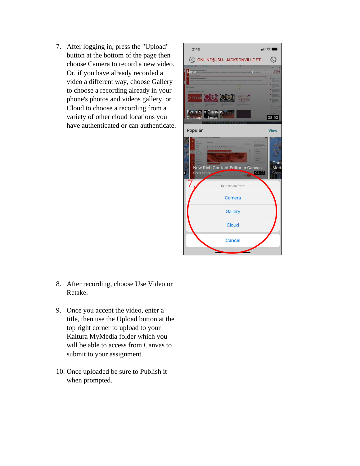7. After logging in, press the "Upload" button at the bottom of the page then choose Camera to record a new video. Or, if you have already recorded a video a different way, choose Gallery to choose a recording already in your phone's photos and videos gallery, or Cloud to choose a recording from a variety of other cloud locations you have authenticated or can authenticate.



- 8. After recording, choose Use Video or Retake.
- 9. Once you accept the video, enter a title, then use the Upload button at the top right corner to upload to your Kaltura MyMedia folder which you will be able to access from Canvas to submit to your assignment.
- 10. Once uploaded be sure to Publish it when prompted.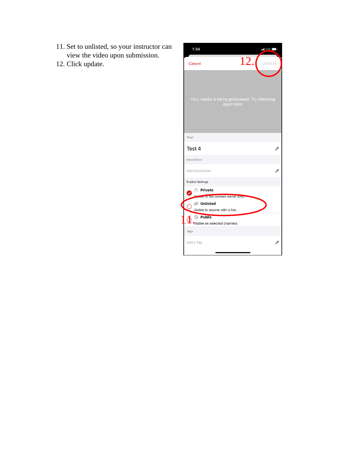- 11. Set to unlisted, so your instructor can view the video upon submission.
- 12. Click update.

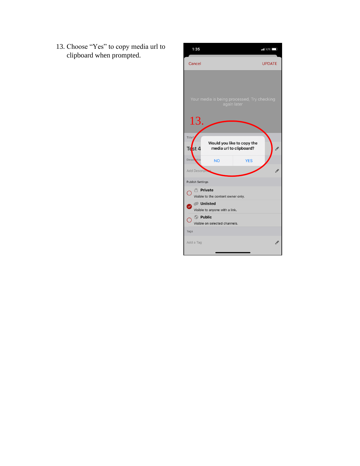13. Choose "Yes" to copy media url to clipboard when prompted.

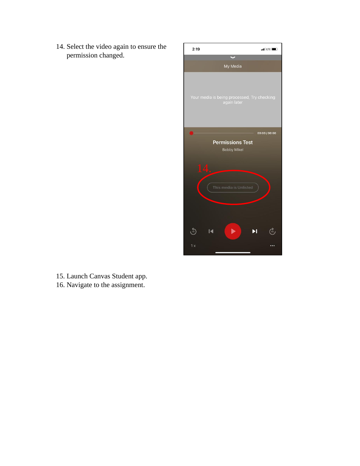14. Select the video again to ensure the permission changed.



15. Launch Canvas Student app. 16. Navigate to the assignment.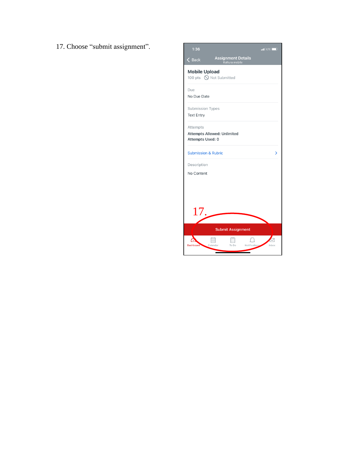17. Choose "submit assignment".